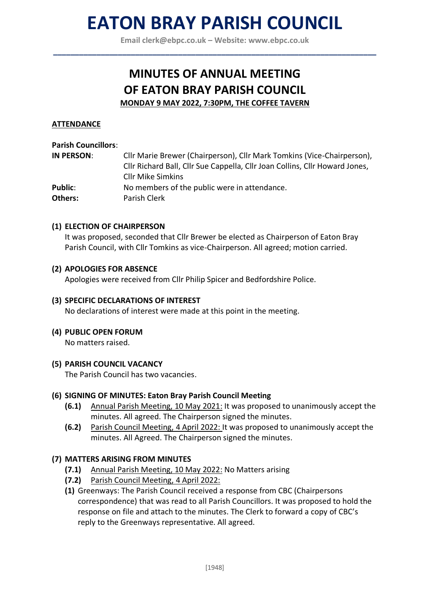**Email [clerk@ebpc.co.uk](mailto:clerk@ebpc.co.uk) – Website: [www.ebpc.co.uk](http://www.ebpc.co.uk/) \_\_\_\_\_\_\_\_\_\_\_\_\_\_\_\_\_\_\_\_\_\_\_\_\_\_\_\_\_\_\_\_\_\_\_\_\_\_\_\_\_\_\_\_\_\_\_\_\_\_\_\_\_\_\_\_\_\_\_\_\_\_\_\_\_\_\_\_\_\_\_\_\_\_\_**

# **MINUTES OF ANNUAL MEETING OF EATON BRAY PARISH COUNCIL**

**MONDAY 9 MAY 2022, 7:30PM, THE COFFEE TAVERN**

### **ATTENDANCE**

#### **Parish Councillors**:

| IN PERSON:     | Cllr Marie Brewer (Chairperson), Cllr Mark Tomkins (Vice-Chairperson),<br>Cllr Richard Ball, Cllr Sue Cappella, Cllr Joan Collins, Cllr Howard Jones, |
|----------------|-------------------------------------------------------------------------------------------------------------------------------------------------------|
|                | <b>Cllr Mike Simkins</b>                                                                                                                              |
| <b>Public:</b> | No members of the public were in attendance.                                                                                                          |
| Others:        | Parish Clerk                                                                                                                                          |

### **(1) ELECTION OF CHAIRPERSON**

It was proposed, seconded that Cllr Brewer be elected as Chairperson of Eaton Bray Parish Council, with Cllr Tomkins as vice-Chairperson. All agreed; motion carried.

#### **(2) APOLOGIES FOR ABSENCE**

Apologies were received from Cllr Philip Spicer and Bedfordshire Police.

#### **(3) SPECIFIC DECLARATIONS OF INTEREST**

No declarations of interest were made at this point in the meeting.

### **(4) PUBLIC OPEN FORUM**

No matters raised.

### **(5) PARISH COUNCIL VACANCY**

The Parish Council has two vacancies.

### **(6) SIGNING OF MINUTES: Eaton Bray Parish Council Meeting**

- **(6.1)** Annual Parish Meeting, 10 May 2021: It was proposed to unanimously accept the minutes. All agreed. The Chairperson signed the minutes.
- **(6.2)** Parish Council Meeting, 4 April 2022: It was proposed to unanimously accept the minutes. All Agreed. The Chairperson signed the minutes.

### **(7) MATTERS ARISING FROM MINUTES**

- **(7.1)** Annual Parish Meeting, 10 May 2022: No Matters arising
- **(7.2)** Parish Council Meeting, 4 April 2022:
- **(1)** Greenways: The Parish Council received a response from CBC (Chairpersons correspondence) that was read to all Parish Councillors. It was proposed to hold the response on file and attach to the minutes. The Clerk to forward a copy of CBC's reply to the Greenways representative. All agreed.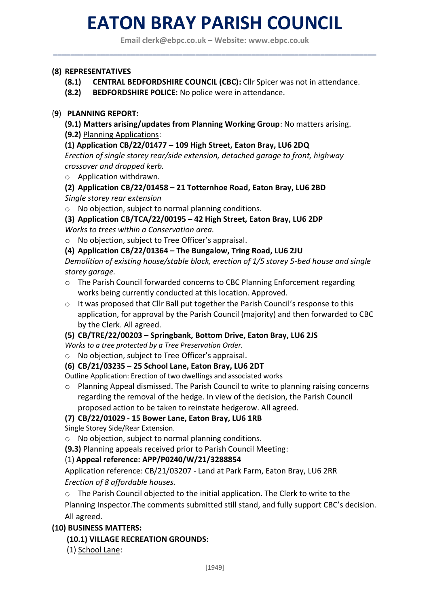**Email [clerk@ebpc.co.uk](mailto:clerk@ebpc.co.uk) – Website: [www.ebpc.co.uk](http://www.ebpc.co.uk/) \_\_\_\_\_\_\_\_\_\_\_\_\_\_\_\_\_\_\_\_\_\_\_\_\_\_\_\_\_\_\_\_\_\_\_\_\_\_\_\_\_\_\_\_\_\_\_\_\_\_\_\_\_\_\_\_\_\_\_\_\_\_\_\_\_\_\_\_\_\_\_\_\_\_\_**

### **(8) REPRESENTATIVES**

- **(8.1) CENTRAL BEDFORDSHIRE COUNCIL (CBC):** Cllr Spicer was not in attendance.
- **(8.2) BEDFORDSHIRE POLICE:** No police were in attendance.

### (**9**) **PLANNING REPORT:**

**(9.1) Matters arising/updates from Planning Working Group**: No matters arising. **(9.2)** Planning Applications:

### **(1) Application CB/22/01477 – 109 High Street, Eaton Bray, LU6 2DQ**

*Erection of single storey rear/side extension, detached garage to front, highway crossover and dropped kerb.*

- o Application withdrawn.
- **(2) Application CB/22/01458 – 21 Totternhoe Road, Eaton Bray, LU6 2BD** *Single storey rear extension*
- o No objection, subject to normal planning conditions.

# **(3) Application CB/TCA/22/00195 – 42 High Street, Eaton Bray, LU6 2DP**

*Works to trees within a Conservation area.*

o No objection, subject to Tree Officer's appraisal.

### **(4) Application CB/22/01364 – The Bungalow, Tring Road, LU6 2JU**

*Demolition of existing house/stable block, erection of 1/5 storey 5-bed house and single storey garage.*

- o The Parish Council forwarded concerns to CBC Planning Enforcement regarding works being currently conducted at this location. Approved.
- o It was proposed that Cllr Ball put together the Parish Council's response to this application, for approval by the Parish Council (majority) and then forwarded to CBC by the Clerk. All agreed.

### **(5) CB/TRE/22/00203 – Springbank, Bottom Drive, Eaton Bray, LU6 2JS**

*Works to a tree protected by a Tree Preservation Order.*

o No objection, subject to Tree Officer's appraisal.

### **(6) CB/21/03235 – 25 School Lane, Eaton Bray, LU6 2DT**

Outline Application: Erection of two dwellings and associated works

o Planning Appeal dismissed. The Parish Council to write to planning raising concerns regarding the removal of the hedge. In view of the decision, the Parish Council proposed action to be taken to reinstate hedgerow. All agreed.

### **(7) CB/22/01029 - 15 Bower Lane, Eaton Bray, LU6 1RB**

Single Storey Side/Rear Extension.

o No objection, subject to normal planning conditions.

**(9.3)** Planning appeals received prior to Parish Council Meeting:

### (1) **Appeal reference: APP/P0240/W/21/3288854**

Application reference: CB/21/03207 - Land at Park Farm, Eaton Bray, LU6 2RR *Erection of 8 affordable houses.*

 $\circ$  The Parish Council objected to the initial application. The Clerk to write to the

Planning Inspector.The comments submitted still stand, and fully support CBC's decision. All agreed.

### **(10) BUSINESS MATTERS:**

# **(10.1) VILLAGE RECREATION GROUNDS:**

(1) School Lane: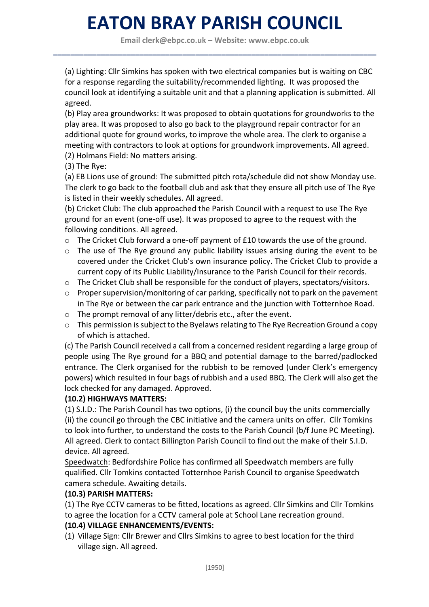**Email [clerk@ebpc.co.uk](mailto:clerk@ebpc.co.uk) – Website: [www.ebpc.co.uk](http://www.ebpc.co.uk/) \_\_\_\_\_\_\_\_\_\_\_\_\_\_\_\_\_\_\_\_\_\_\_\_\_\_\_\_\_\_\_\_\_\_\_\_\_\_\_\_\_\_\_\_\_\_\_\_\_\_\_\_\_\_\_\_\_\_\_\_\_\_\_\_\_\_\_\_\_\_\_\_\_\_\_**

(a) Lighting: Cllr Simkins has spoken with two electrical companies but is waiting on CBC for a response regarding the suitability/recommended lighting. It was proposed the council look at identifying a suitable unit and that a planning application is submitted. All agreed.

(b) Play area groundworks: It was proposed to obtain quotations for groundworks to the play area. It was proposed to also go back to the playground repair contractor for an additional quote for ground works, to improve the whole area. The clerk to organise a meeting with contractors to look at options for groundwork improvements. All agreed. (2) Holmans Field: No matters arising.

(3) The Rye:

(a) EB Lions use of ground: The submitted pitch rota/schedule did not show Monday use. The clerk to go back to the football club and ask that they ensure all pitch use of The Rye is listed in their weekly schedules. All agreed.

(b) Cricket Club: The club approached the Parish Council with a request to use The Rye ground for an event (one-off use). It was proposed to agree to the request with the following conditions. All agreed.

- o The Cricket Club forward a one-off payment of £10 towards the use of the ground.
- $\circ$  The use of The Rye ground any public liability issues arising during the event to be covered under the Cricket Club's own insurance policy. The Cricket Club to provide a current copy of its Public Liability/Insurance to the Parish Council for their records.
- $\circ$  The Cricket Club shall be responsible for the conduct of players, spectators/visitors.
- o Proper supervision/monitoring of car parking, specifically not to park on the pavement in The Rye or between the car park entrance and the junction with Totternhoe Road.
- o The prompt removal of any litter/debris etc., after the event.
- $\circ$  This permission is subject to the Byelaws relating to The Rye Recreation Ground a copy of which is attached.

(c) The Parish Council received a call from a concerned resident regarding a large group of people using The Rye ground for a BBQ and potential damage to the barred/padlocked entrance. The Clerk organised for the rubbish to be removed (under Clerk's emergency powers) which resulted in four bags of rubbish and a used BBQ. The Clerk will also get the lock checked for any damaged. Approved.

### **(10.2) HIGHWAYS MATTERS:**

(1) S.I.D.: The Parish Council has two options, (i) the council buy the units commercially (ii) the council go through the CBC initiative and the camera units on offer. Cllr Tomkins to look into further, to understand the costs to the Parish Council (b/f June PC Meeting). All agreed. Clerk to contact Billington Parish Council to find out the make of their S.I.D. device. All agreed.

Speedwatch: Bedfordshire Police has confirmed all Speedwatch members are fully qualified. Cllr Tomkins contacted Totternhoe Parish Council to organise Speedwatch camera schedule. Awaiting details.

# **(10.3) PARISH MATTERS:**

(1) The Rye CCTV cameras to be fitted, locations as agreed. Cllr Simkins and Cllr Tomkins to agree the location for a CCTV cameral pole at School Lane recreation ground.

# **(10.4) VILLAGE ENHANCEMENTS/EVENTS:**

(1) Village Sign: Cllr Brewer and Cllrs Simkins to agree to best location for the third village sign. All agreed.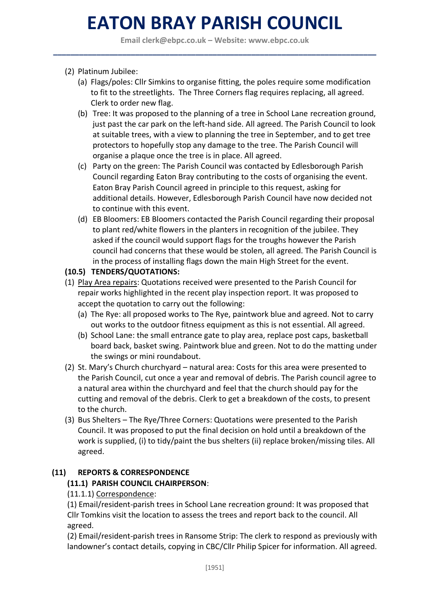**Email [clerk@ebpc.co.uk](mailto:clerk@ebpc.co.uk) – Website: [www.ebpc.co.uk](http://www.ebpc.co.uk/) \_\_\_\_\_\_\_\_\_\_\_\_\_\_\_\_\_\_\_\_\_\_\_\_\_\_\_\_\_\_\_\_\_\_\_\_\_\_\_\_\_\_\_\_\_\_\_\_\_\_\_\_\_\_\_\_\_\_\_\_\_\_\_\_\_\_\_\_\_\_\_\_\_\_\_**

- (2) Platinum Jubilee:
	- (a) Flags/poles: Cllr Simkins to organise fitting, the poles require some modification to fit to the streetlights. The Three Corners flag requires replacing, all agreed. Clerk to order new flag.
	- (b) Tree: It was proposed to the planning of a tree in School Lane recreation ground, just past the car park on the left-hand side. All agreed. The Parish Council to look at suitable trees, with a view to planning the tree in September, and to get tree protectors to hopefully stop any damage to the tree. The Parish Council will organise a plaque once the tree is in place. All agreed.
	- (c) Party on the green: The Parish Council was contacted by Edlesborough Parish Council regarding Eaton Bray contributing to the costs of organising the event. Eaton Bray Parish Council agreed in principle to this request, asking for additional details. However, Edlesborough Parish Council have now decided not to continue with this event.
	- (d) EB Bloomers: EB Bloomers contacted the Parish Council regarding their proposal to plant red/white flowers in the planters in recognition of the jubilee. They asked if the council would support flags for the troughs however the Parish council had concerns that these would be stolen, all agreed. The Parish Council is in the process of installing flags down the main High Street for the event.

### **(10.5) TENDERS/QUOTATIONS:**

- (1) Play Area repairs: Quotations received were presented to the Parish Council for repair works highlighted in the recent play inspection report. It was proposed to accept the quotation to carry out the following:
	- (a) The Rye: all proposed works to The Rye, paintwork blue and agreed. Not to carry out works to the outdoor fitness equipment as this is not essential. All agreed.
	- (b) School Lane: the small entrance gate to play area, replace post caps, basketball board back, basket swing. Paintwork blue and green. Not to do the matting under the swings or mini roundabout.
- (2) St. Mary's Church churchyard natural area: Costs for this area were presented to the Parish Council, cut once a year and removal of debris. The Parish council agree to a natural area within the churchyard and feel that the church should pay for the cutting and removal of the debris. Clerk to get a breakdown of the costs, to present to the church.
- (3) Bus Shelters The Rye/Three Corners: Quotations were presented to the Parish Council. It was proposed to put the final decision on hold until a breakdown of the work is supplied, (i) to tidy/paint the bus shelters (ii) replace broken/missing tiles. All agreed.

# **(11) REPORTS & CORRESPONDENCE**

# **(11.1) PARISH COUNCIL CHAIRPERSON**:

(11.1.1) Correspondence:

(1) Email/resident-parish trees in School Lane recreation ground: It was proposed that Cllr Tomkins visit the location to assess the trees and report back to the council. All agreed.

(2) Email/resident-parish trees in Ransome Strip: The clerk to respond as previously with landowner's contact details, copying in CBC/Cllr Philip Spicer for information. All agreed.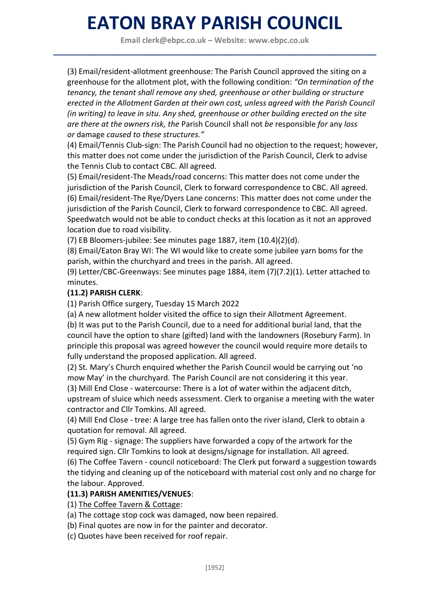**Email [clerk@ebpc.co.uk](mailto:clerk@ebpc.co.uk) – Website: [www.ebpc.co.uk](http://www.ebpc.co.uk/) \_\_\_\_\_\_\_\_\_\_\_\_\_\_\_\_\_\_\_\_\_\_\_\_\_\_\_\_\_\_\_\_\_\_\_\_\_\_\_\_\_\_\_\_\_\_\_\_\_\_\_\_\_\_\_\_\_\_\_\_\_\_\_\_\_\_\_\_\_\_\_\_\_\_\_**

(3) Email/resident-allotment greenhouse: The Parish Council approved the siting on a greenhouse for the allotment plot, with the following condition: *"On termination of the tenancy, the tenant shall remove any shed, greenhouse or other building or structure erected in the Allotment Garden at their own cost, unless agreed with the Parish Council (in writing) to leave in situ. Any shed, greenhouse or other building erected on the site are there at the owners risk, the* Parish Council shall not *be* responsible *for* any *loss or* damage *caused to these structures."*

(4) Email/Tennis Club-sign: The Parish Council had no objection to the request; however, this matter does not come under the jurisdiction of the Parish Council, Clerk to advise the Tennis Club to contact CBC. All agreed.

(5) Email/resident-The Meads/road concerns: This matter does not come under the jurisdiction of the Parish Council, Clerk to forward correspondence to CBC. All agreed. (6) Email/resident-The Rye/Dyers Lane concerns: This matter does not come under the jurisdiction of the Parish Council, Clerk to forward correspondence to CBC. All agreed. Speedwatch would not be able to conduct checks at this location as it not an approved location due to road visibility.

(7) EB Bloomers-jubilee: See minutes page 1887, item (10.4)(2)(d).

(8) Email/Eaton Bray WI: The WI would like to create some jubilee yarn boms for the parish, within the churchyard and trees in the parish. All agreed.

(9) Letter/CBC-Greenways: See minutes page 1884, item (7)(7.2)(1). Letter attached to minutes.

### **(11.2) PARISH CLERK**:

(1) Parish Office surgery, Tuesday 15 March 2022

(a) A new allotment holder visited the office to sign their Allotment Agreement.

(b) It was put to the Parish Council, due to a need for additional burial land, that the council have the option to share (gifted) land with the landowners (Rosebury Farm). In principle this proposal was agreed however the council would require more details to fully understand the proposed application. All agreed.

(2) St. Mary's Church enquired whether the Parish Council would be carrying out 'no mow May' in the churchyard. The Parish Council are not considering it this year. (3) Mill End Close - watercourse: There is a lot of water within the adjacent ditch,

upstream of sluice which needs assessment. Clerk to organise a meeting with the water contractor and Cllr Tomkins. All agreed.

(4) Mill End Close - tree: A large tree has fallen onto the river island, Clerk to obtain a quotation for removal. All agreed.

(5) Gym Rig - signage: The suppliers have forwarded a copy of the artwork for the required sign. Cllr Tomkins to look at designs/signage for installation. All agreed.

(6) The Coffee Tavern - council noticeboard: The Clerk put forward a suggestion towards the tidying and cleaning up of the noticeboard with material cost only and no charge for the labour. Approved.

### **(11.3) PARISH AMENITIES/VENUES**:

(1) The Coffee Tavern & Cottage:

(a) The cottage stop cock was damaged, now been repaired.

(b) Final quotes are now in for the painter and decorator.

(c) Quotes have been received for roof repair.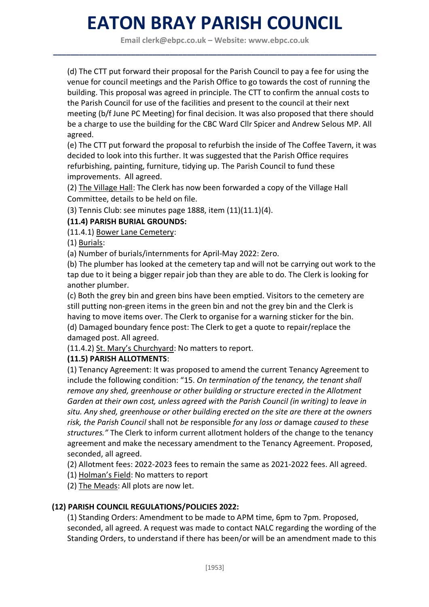**Email [clerk@ebpc.co.uk](mailto:clerk@ebpc.co.uk) – Website: [www.ebpc.co.uk](http://www.ebpc.co.uk/) \_\_\_\_\_\_\_\_\_\_\_\_\_\_\_\_\_\_\_\_\_\_\_\_\_\_\_\_\_\_\_\_\_\_\_\_\_\_\_\_\_\_\_\_\_\_\_\_\_\_\_\_\_\_\_\_\_\_\_\_\_\_\_\_\_\_\_\_\_\_\_\_\_\_\_**

(d) The CTT put forward their proposal for the Parish Council to pay a fee for using the venue for council meetings and the Parish Office to go towards the cost of running the building. This proposal was agreed in principle. The CTT to confirm the annual costs to the Parish Council for use of the facilities and present to the council at their next meeting (b/f June PC Meeting) for final decision. It was also proposed that there should be a charge to use the building for the CBC Ward Cllr Spicer and Andrew Selous MP. All agreed.

(e) The CTT put forward the proposal to refurbish the inside of The Coffee Tavern, it was decided to look into this further. It was suggested that the Parish Office requires refurbishing, painting, furniture, tidying up. The Parish Council to fund these improvements. All agreed.

(2) The Village Hall: The Clerk has now been forwarded a copy of the Village Hall Committee, details to be held on file.

(3) Tennis Club: see minutes page 1888, item (11)(11.1)(4).

# **(11.4) PARISH BURIAL GROUNDS:**

(11.4.1) Bower Lane Cemetery:

(1) Burials:

(a) Number of burials/internments for April-May 2022: Zero.

(b) The plumber has looked at the cemetery tap and will not be carrying out work to the tap due to it being a bigger repair job than they are able to do. The Clerk is looking for another plumber.

(c) Both the grey bin and green bins have been emptied. Visitors to the cemetery are still putting non-green items in the green bin and not the grey bin and the Clerk is having to move items over. The Clerk to organise for a warning sticker for the bin. (d) Damaged boundary fence post: The Clerk to get a quote to repair/replace the damaged post. All agreed.

(11.4.2) St. Mary's Churchyard: No matters to report.

# **(11.5) PARISH ALLOTMENTS**:

(1) Tenancy Agreement: It was proposed to amend the current Tenancy Agreement to include the following condition: "15. *On termination of the tenancy, the tenant shall remove any shed, greenhouse or other building or structure erected in the Allotment Garden at their own cost, unless agreed with the Parish Council (in writing) to leave in situ. Any shed, greenhouse or other building erected on the site are there at the owners risk, the Parish Council* shall not *be* responsible *for* any *loss or* damage *caused to these structures."* The Clerk to inform current allotment holders of the change to the tenancy agreement and make the necessary amendment to the Tenancy Agreement. Proposed, seconded, all agreed.

(2) Allotment fees: 2022-2023 fees to remain the same as 2021-2022 fees. All agreed.

(1) Holman's Field: No matters to report

(2) The Meads: All plots are now let.

# **(12) PARISH COUNCIL REGULATIONS/POLICIES 2022:**

(1) Standing Orders: Amendment to be made to APM time, 6pm to 7pm. Proposed, seconded, all agreed. A request was made to contact NALC regarding the wording of the Standing Orders, to understand if there has been/or will be an amendment made to this